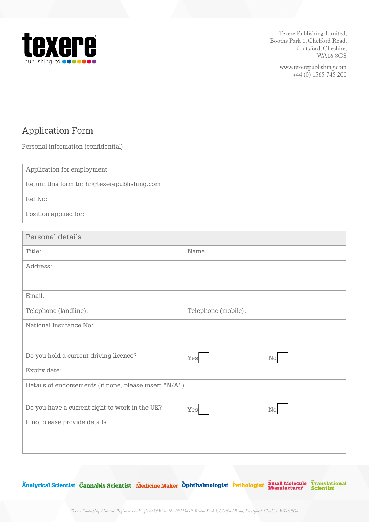

> www.texerepublishing.com +44 (0) 1565 745 200

# Application Form

Personal information (confidential)

| Application for employment                             |                     |          |  |  |
|--------------------------------------------------------|---------------------|----------|--|--|
| Return this form to: hr@texerepublishing.com           |                     |          |  |  |
| Ref No:                                                |                     |          |  |  |
| Position applied for:                                  |                     |          |  |  |
|                                                        |                     |          |  |  |
| Personal details                                       |                     |          |  |  |
| Title:                                                 | Name:               |          |  |  |
| Address:                                               |                     |          |  |  |
|                                                        |                     |          |  |  |
| Email:                                                 |                     |          |  |  |
| Telephone (landline):                                  | Telephone (mobile): |          |  |  |
| National Insurance No:                                 |                     |          |  |  |
|                                                        |                     |          |  |  |
| Do you hold a current driving licence?                 | Yes                 | $\rm No$ |  |  |
| Expiry date:                                           |                     |          |  |  |
| Details of endorsements (if none, please insert "N/A") |                     |          |  |  |
| Do you have a current right to work in the UK?         | Yes                 | $\rm No$ |  |  |
| If no, please provide details                          |                     |          |  |  |
|                                                        |                     |          |  |  |
|                                                        |                     |          |  |  |

Änalytical Scientist Cannabis Scientist Medicine Maker Öphthalmologist Pathologist Small Molecule Translational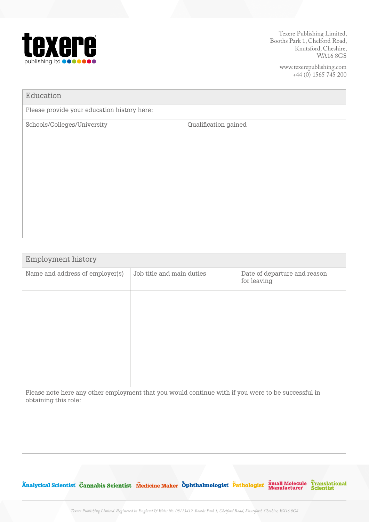

> www.texerepublishing.com +44 (0) 1565 745 200

| Education                                   |                      |  |  |
|---------------------------------------------|----------------------|--|--|
| Please provide your education history here: |                      |  |  |
| Schools/Colleges/University                 | Qualification gained |  |  |
|                                             |                      |  |  |

| Employment history                                                                                                         |                           |                                             |  |  |
|----------------------------------------------------------------------------------------------------------------------------|---------------------------|---------------------------------------------|--|--|
| Name and address of employer(s)                                                                                            | Job title and main duties | Date of departure and reason<br>for leaving |  |  |
|                                                                                                                            |                           |                                             |  |  |
|                                                                                                                            |                           |                                             |  |  |
|                                                                                                                            |                           |                                             |  |  |
|                                                                                                                            |                           |                                             |  |  |
|                                                                                                                            |                           |                                             |  |  |
| Please note here any other employment that you would continue with if you were to be successful in<br>obtaining this role: |                           |                                             |  |  |
|                                                                                                                            |                           |                                             |  |  |
|                                                                                                                            |                           |                                             |  |  |
|                                                                                                                            |                           |                                             |  |  |
|                                                                                                                            |                           |                                             |  |  |

Änalytical Scientist Cannabis Scientist Medicine Maker Öphthalmologist Pathologist Small Molecule Translational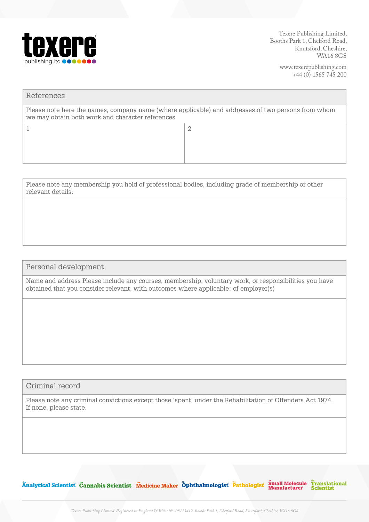

> www.texerepublishing.com +44 (0) 1565 745 200

| Please note here the names, company name (where applicable) and addresses of two persons from whom<br>we may obtain both work and character references |  |  |
|--------------------------------------------------------------------------------------------------------------------------------------------------------|--|--|
| 2                                                                                                                                                      |  |  |

Please note any membership you hold of professional bodies, including grade of membership or other relevant details:

## Personal development

Name and address Please include any courses, membership, voluntary work, or responsibilities you have obtained that you consider relevant, with outcomes where applicable: of employer(s)

### Criminal record

Please note any criminal convictions except those 'spent' under the Rehabilitation of Offenders Act 1974. If none, please state.

Analytical Scientist Cannabis Scientist Medicine Maker Ophthalmologist Pathologist Small Molecule Translational